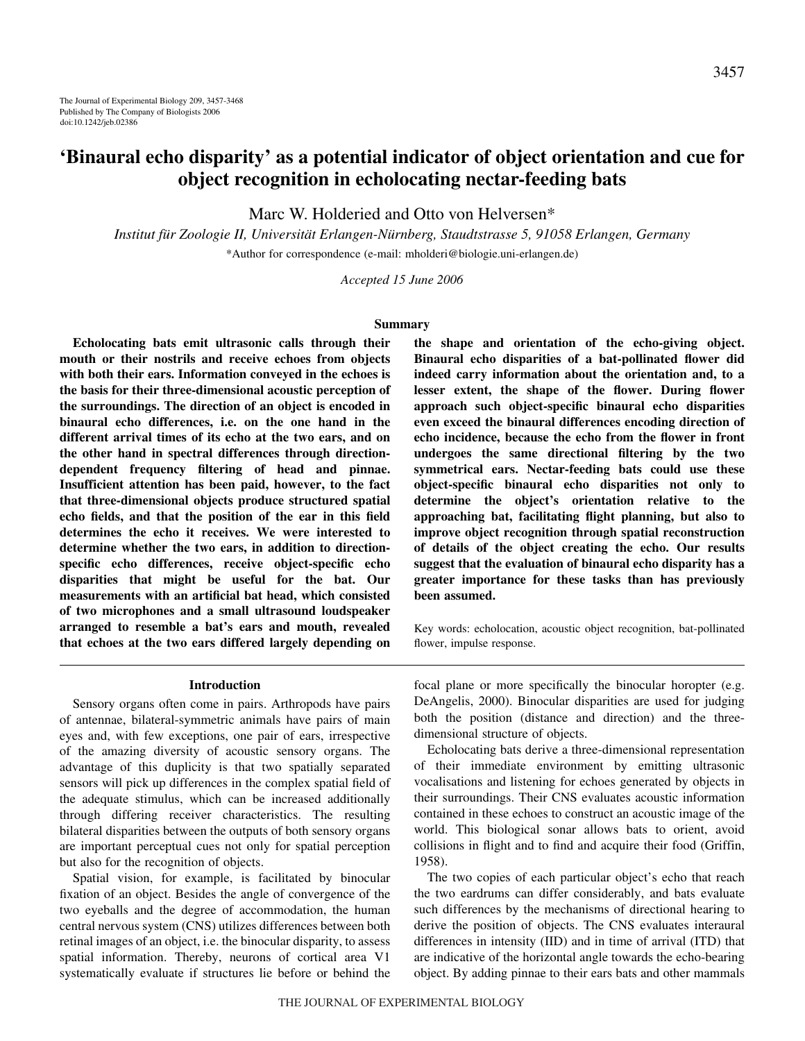# **'Binaural echo disparity' as a potential indicator of object orientation and cue for object recognition in echolocating nectar-feeding bats**

Marc W. Holderied and Otto von Helversen\*

*Institut für Zoologie II, Universität Erlangen-Nürnberg, Staudtstrasse 5, 91058 Erlangen, Germany* \*Author for correspondence (e-mail: mholderi@biologie.uni-erlangen.de)

*Accepted 15 June 2006*

### **Summary**

**Echolocating bats emit ultrasonic calls through their mouth or their nostrils and receive echoes from objects with both their ears. Information conveyed in the echoes is the basis for their three-dimensional acoustic perception of the surroundings. The direction of an object is encoded in binaural echo differences, i.e. on the one hand in the different arrival times of its echo at the two ears, and on the other hand in spectral differences through directiondependent frequency filtering of head and pinnae. Insufficient attention has been paid, however, to the fact that three-dimensional objects produce structured spatial echo fields, and that the position of the ear in this field determines the echo it receives. We were interested to determine whether the two ears, in addition to directionspecific echo differences, receive object-specific echo disparities that might be useful for the bat. Our measurements with an artificial bat head, which consisted of two microphones and a small ultrasound loudspeaker arranged to resemble a bat's ears and mouth, revealed that echoes at the two ears differed largely depending on**

**the shape and orientation of the echo-giving object. Binaural echo disparities of a bat-pollinated flower did indeed carry information about the orientation and, to a lesser extent, the shape of the flower. During flower approach such object-specific binaural echo disparities even exceed the binaural differences encoding direction of echo incidence, because the echo from the flower in front undergoes the same directional filtering by the two symmetrical ears. Nectar-feeding bats could use these object-specific binaural echo disparities not only to determine the object's orientation relative to the approaching bat, facilitating flight planning, but also to improve object recognition through spatial reconstruction of details of the object creating the echo. Our results suggest that the evaluation of binaural echo disparity has a greater importance for these tasks than has previously been assumed.**

Key words: echolocation, acoustic object recognition, bat-pollinated flower, impulse response.

#### **Introduction**

Sensory organs often come in pairs. Arthropods have pairs of antennae, bilateral-symmetric animals have pairs of main eyes and, with few exceptions, one pair of ears, irrespective of the amazing diversity of acoustic sensory organs. The advantage of this duplicity is that two spatially separated sensors will pick up differences in the complex spatial field of the adequate stimulus, which can be increased additionally through differing receiver characteristics. The resulting bilateral disparities between the outputs of both sensory organs are important perceptual cues not only for spatial perception but also for the recognition of objects.

Spatial vision, for example, is facilitated by binocular fixation of an object. Besides the angle of convergence of the two eyeballs and the degree of accommodation, the human central nervous system (CNS) utilizes differences between both retinal images of an object, i.e. the binocular disparity, to assess spatial information. Thereby, neurons of cortical area V1 systematically evaluate if structures lie before or behind the focal plane or more specifically the binocular horopter (e.g. DeAngelis, 2000). Binocular disparities are used for judging both the position (distance and direction) and the threedimensional structure of objects.

Echolocating bats derive a three-dimensional representation of their immediate environment by emitting ultrasonic vocalisations and listening for echoes generated by objects in their surroundings. Their CNS evaluates acoustic information contained in these echoes to construct an acoustic image of the world. This biological sonar allows bats to orient, avoid collisions in flight and to find and acquire their food (Griffin, 1958).

The two copies of each particular object's echo that reach the two eardrums can differ considerably, and bats evaluate such differences by the mechanisms of directional hearing to derive the position of objects. The CNS evaluates interaural differences in intensity (IID) and in time of arrival (ITD) that are indicative of the horizontal angle towards the echo-bearing object. By adding pinnae to their ears bats and other mammals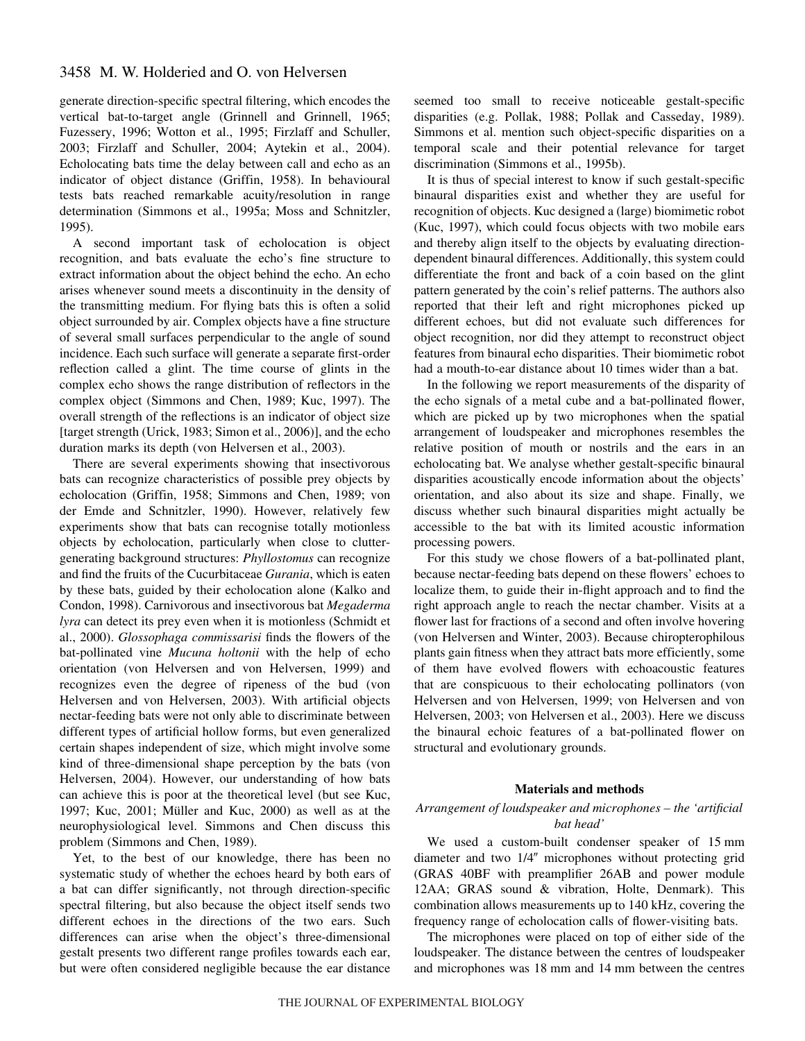generate direction-specific spectral filtering, which encodes the vertical bat-to-target angle (Grinnell and Grinnell, 1965; Fuzessery, 1996; Wotton et al., 1995; Firzlaff and Schuller, 2003; Firzlaff and Schuller, 2004; Aytekin et al., 2004). Echolocating bats time the delay between call and echo as an indicator of object distance (Griffin, 1958). In behavioural tests bats reached remarkable acuity/resolution in range determination (Simmons et al., 1995a; Moss and Schnitzler, 1995).

A second important task of echolocation is object recognition, and bats evaluate the echo's fine structure to extract information about the object behind the echo. An echo arises whenever sound meets a discontinuity in the density of the transmitting medium. For flying bats this is often a solid object surrounded by air. Complex objects have a fine structure of several small surfaces perpendicular to the angle of sound incidence. Each such surface will generate a separate first-order reflection called a glint. The time course of glints in the complex echo shows the range distribution of reflectors in the complex object (Simmons and Chen, 1989; Kuc, 1997). The overall strength of the reflections is an indicator of object size [target strength (Urick, 1983; Simon et al., 2006)], and the echo duration marks its depth (von Helversen et al., 2003).

There are several experiments showing that insectivorous bats can recognize characteristics of possible prey objects by echolocation (Griffin, 1958; Simmons and Chen, 1989; von der Emde and Schnitzler, 1990). However, relatively few experiments show that bats can recognise totally motionless objects by echolocation, particularly when close to cluttergenerating background structures: *Phyllostomus* can recognize and find the fruits of the Cucurbitaceae *Gurania*, which is eaten by these bats, guided by their echolocation alone (Kalko and Condon, 1998). Carnivorous and insectivorous bat *Megaderma lyra* can detect its prey even when it is motionless (Schmidt et al., 2000). *Glossophaga commissarisi* finds the flowers of the bat-pollinated vine *Mucuna holtonii* with the help of echo orientation (von Helversen and von Helversen, 1999) and recognizes even the degree of ripeness of the bud (von Helversen and von Helversen, 2003). With artificial objects nectar-feeding bats were not only able to discriminate between different types of artificial hollow forms, but even generalized certain shapes independent of size, which might involve some kind of three-dimensional shape perception by the bats (von Helversen, 2004). However, our understanding of how bats can achieve this is poor at the theoretical level (but see Kuc, 1997; Kuc, 2001; Müller and Kuc, 2000) as well as at the neurophysiological level. Simmons and Chen discuss this problem (Simmons and Chen, 1989).

Yet, to the best of our knowledge, there has been no systematic study of whether the echoes heard by both ears of a bat can differ significantly, not through direction-specific spectral filtering, but also because the object itself sends two different echoes in the directions of the two ears. Such differences can arise when the object's three-dimensional gestalt presents two different range profiles towards each ear, but were often considered negligible because the ear distance seemed too small to receive noticeable gestalt-specific disparities (e.g. Pollak, 1988; Pollak and Casseday, 1989). Simmons et al. mention such object-specific disparities on a temporal scale and their potential relevance for target discrimination (Simmons et al., 1995b).

It is thus of special interest to know if such gestalt-specific binaural disparities exist and whether they are useful for recognition of objects. Kuc designed a (large) biomimetic robot (Kuc, 1997), which could focus objects with two mobile ears and thereby align itself to the objects by evaluating directiondependent binaural differences. Additionally, this system could differentiate the front and back of a coin based on the glint pattern generated by the coin's relief patterns. The authors also reported that their left and right microphones picked up different echoes, but did not evaluate such differences for object recognition, nor did they attempt to reconstruct object features from binaural echo disparities. Their biomimetic robot had a mouth-to-ear distance about 10 times wider than a bat.

In the following we report measurements of the disparity of the echo signals of a metal cube and a bat-pollinated flower, which are picked up by two microphones when the spatial arrangement of loudspeaker and microphones resembles the relative position of mouth or nostrils and the ears in an echolocating bat. We analyse whether gestalt-specific binaural disparities acoustically encode information about the objects' orientation, and also about its size and shape. Finally, we discuss whether such binaural disparities might actually be accessible to the bat with its limited acoustic information processing powers.

For this study we chose flowers of a bat-pollinated plant, because nectar-feeding bats depend on these flowers' echoes to localize them, to guide their in-flight approach and to find the right approach angle to reach the nectar chamber. Visits at a flower last for fractions of a second and often involve hovering (von Helversen and Winter, 2003). Because chiropterophilous plants gain fitness when they attract bats more efficiently, some of them have evolved flowers with echoacoustic features that are conspicuous to their echolocating pollinators (von Helversen and von Helversen, 1999; von Helversen and von Helversen, 2003; von Helversen et al., 2003). Here we discuss the binaural echoic features of a bat-pollinated flower on structural and evolutionary grounds.

#### **Materials and methods**

### *Arrangement of loudspeaker and microphones – the 'artificial bat head'*

We used a custom-built condenser speaker of 15 mm diameter and two 1/4" microphones without protecting grid (GRAS 40BF with preamplifier 26AB and power module 12AA; GRAS sound & vibration, Holte, Denmark). This combination allows measurements up to 140 kHz, covering the frequency range of echolocation calls of flower-visiting bats.

The microphones were placed on top of either side of the loudspeaker. The distance between the centres of loudspeaker and microphones was 18 mm and 14 mm between the centres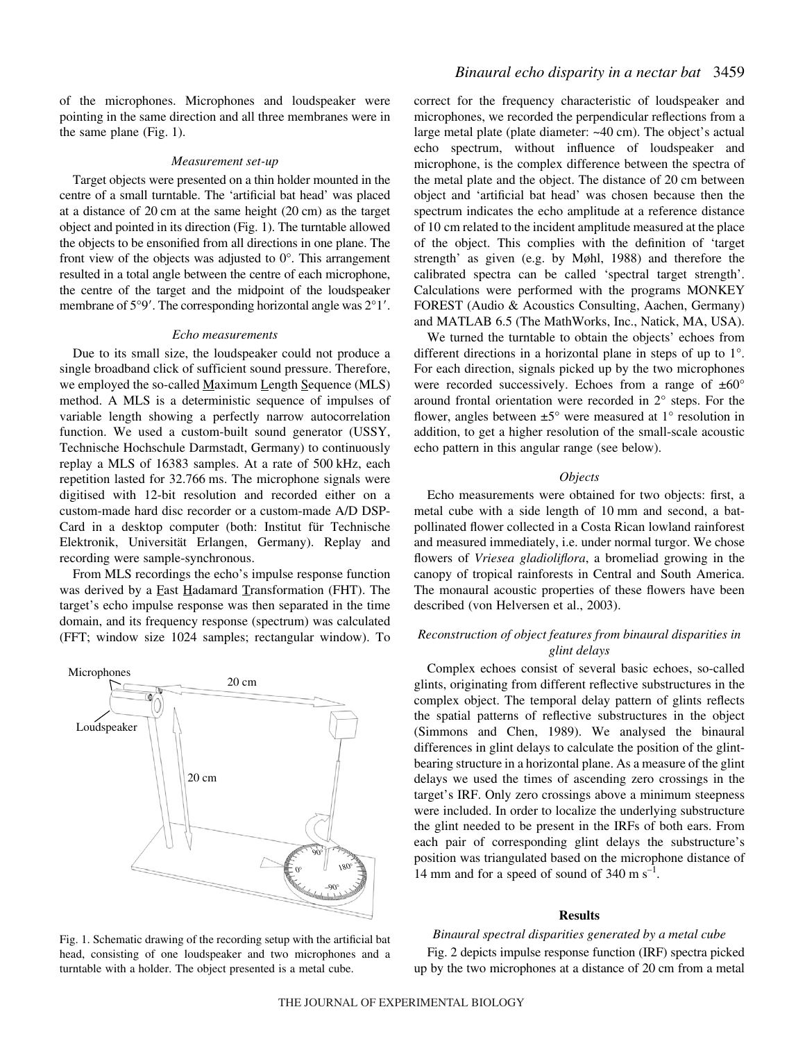of the microphones. Microphones and loudspeaker were pointing in the same direction and all three membranes were in the same plane (Fig.  $1$ ).

#### *Measurement set-up*

Target objects were presented on a thin holder mounted in the centre of a small turntable. The 'artificial bat head' was placed at a distance of  $20 \text{ cm}$  at the same height  $(20 \text{ cm})$  as the target object and pointed in its direction (Fig. 1). The turntable allowed the objects to be ensonified from all directions in one plane. The front view of the objects was adjusted to 0°. This arrangement resulted in a total angle between the centre of each microphone, the centre of the target and the midpoint of the loudspeaker membrane of  $5^{\circ}9'$ . The corresponding horizontal angle was  $2^{\circ}1'$ .

#### *Echo measurements*

Due to its small size, the loudspeaker could not produce a single broadband click of sufficient sound pressure. Therefore, we employed the so-called Maximum Length Sequence (MLS) method. A MLS is a deterministic sequence of impulses of variable length showing a perfectly narrow autocorrelation function. We used a custom-built sound generator (USSY, Technische Hochschule Darmstadt, Germany) to continuously replay a MLS of 16383 samples. At a rate of 500 kHz, each repetition lasted for 32.766 ms. The microphone signals were digitised with 12-bit resolution and recorded either on a custom-made hard disc recorder or a custom-made A/D DSP-Card in a desktop computer (both: Institut für Technische Elektronik, Universität Erlangen, Germany). Replay and recording were sample-synchronous.

From MLS recordings the echo's impulse response function was derived by a East Hadamard Transformation (FHT). The target's echo impulse response was then separated in the time domain, and its frequency response (spectrum) was calculated (FFT; window size 1024 samples; rectangular window). To



correct for the frequency characteristic of loudspeaker and microphones, we recorded the perpendicular reflections from a large metal plate (plate diameter: ~40 cm). The object's actual echo spectrum, without influence of loudspeaker and microphone, is the complex difference between the spectra of the metal plate and the object. The distance of 20 cm between object and 'artificial bat head' was chosen because then the spectrum indicates the echo amplitude at a reference distance of 10 cm related to the incident amplitude measured at the place of the object. This complies with the definition of 'target strength' as given (e.g. by Møhl, 1988) and therefore the calibrated spectra can be called 'spectral target strength'. Calculations were performed with the programs MONKEY FOREST (Audio & Acoustics Consulting, Aachen, Germany) and MATLAB 6.5 (The MathWorks, Inc., Natick, MA, USA).

We turned the turntable to obtain the objects' echoes from different directions in a horizontal plane in steps of up to 1°. For each direction, signals picked up by the two microphones were recorded successively. Echoes from a range of  $\pm 60^\circ$ around frontal orientation were recorded in 2° steps. For the flower, angles between  $\pm 5^{\circ}$  were measured at 1° resolution in addition, to get a higher resolution of the small-scale acoustic echo pattern in this angular range (see below).

#### *Objects*

Echo measurements were obtained for two objects: first, a metal cube with a side length of 10 mm and second, a batpollinated flower collected in a Costa Rican lowland rainforest and measured immediately, i.e. under normal turgor. We chose flowers of *Vriesea gladioliflora*, a bromeliad growing in the canopy of tropical rainforests in Central and South America. The monaural acoustic properties of these flowers have been described (von Helversen et al., 2003).

### *Reconstruction of object features from binaural disparities in glint delays*

Complex echoes consist of several basic echoes, so-called glints, originating from different reflective substructures in the complex object. The temporal delay pattern of glints reflects the spatial patterns of reflective substructures in the object (Simmons and Chen, 1989). We analysed the binaural differences in glint delays to calculate the position of the glintbearing structure in a horizontal plane. As a measure of the glint delays we used the times of ascending zero crossings in the target's IRF. Only zero crossings above a minimum steepness were included. In order to localize the underlying substructure the glint needed to be present in the IRFs of both ears. From each pair of corresponding glint delays the substructure's position was triangulated based on the microphone distance of 14 mm and for a speed of sound of 340 m  $s^{-1}$ .

#### **Results**

*Binaural spectral disparities generated by a metal cube* Fig. 2 depicts impulse response function (IRF) spectra picked up by the two microphones at a distance of 20 cm from a metal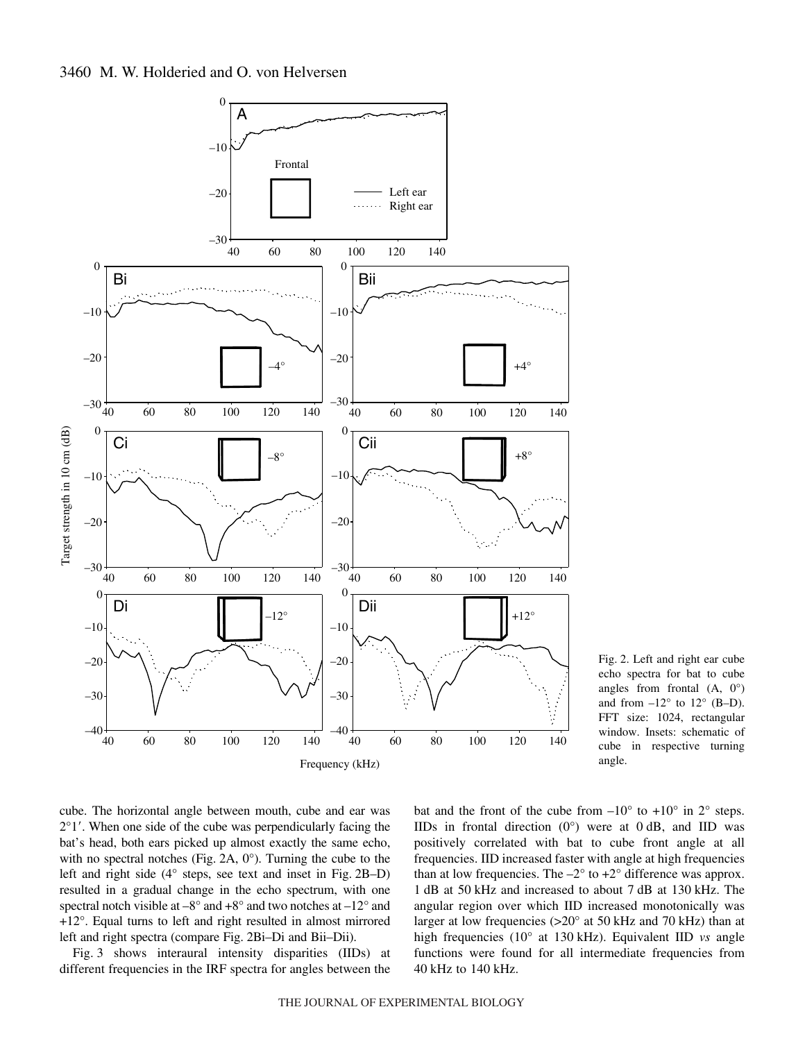

Fig. 2. Left and right ear cube echo spectra for bat to cube angles from frontal  $(A, 0^{\circ})$ and from  $-12^{\circ}$  to  $12^{\circ}$  (B-D). FFT size: 1024, rectangular window. Insets: schematic of cube in respective turning angle.

cube. The horizontal angle between mouth, cube and ear was  $2^{\circ}1'$ . When one side of the cube was perpendicularly facing the bat's head, both ears picked up almost exactly the same echo, with no spectral notches (Fig. 2A,  $0^{\circ}$ ). Turning the cube to the left and right side  $(4^{\circ}$  steps, see text and inset in Fig. 2B–D) resulted in a gradual change in the echo spectrum, with one spectral notch visible at  $-8^{\circ}$  and  $+8^{\circ}$  and two notches at  $-12^{\circ}$  and +12°. Equal turns to left and right resulted in almost mirrored left and right spectra (compare Fig. 2Bi–Di and Bii–Dii).

Fig. 3 shows interaural intensity disparities (IIDs) at different frequencies in the IRF spectra for angles between the bat and the front of the cube from  $-10^{\circ}$  to  $+10^{\circ}$  in  $2^{\circ}$  steps. IIDs in frontal direction  $(0^{\circ})$  were at 0 dB, and IID was positively correlated with bat to cube front angle at all frequencies. IID increased faster with angle at high frequencies than at low frequencies. The  $-2^{\circ}$  to  $+2^{\circ}$  difference was approx. 1 dB at 50 kHz and increased to about 7 dB at 130 kHz. The angular region over which IID increased monotonically was larger at low frequencies ( $>20^\circ$  at 50 kHz and 70 kHz) than at high frequencies (10° at 130 kHz). Equivalent IID *vs* angle functions were found for all intermediate frequencies from 40 kHz to 140 kHz.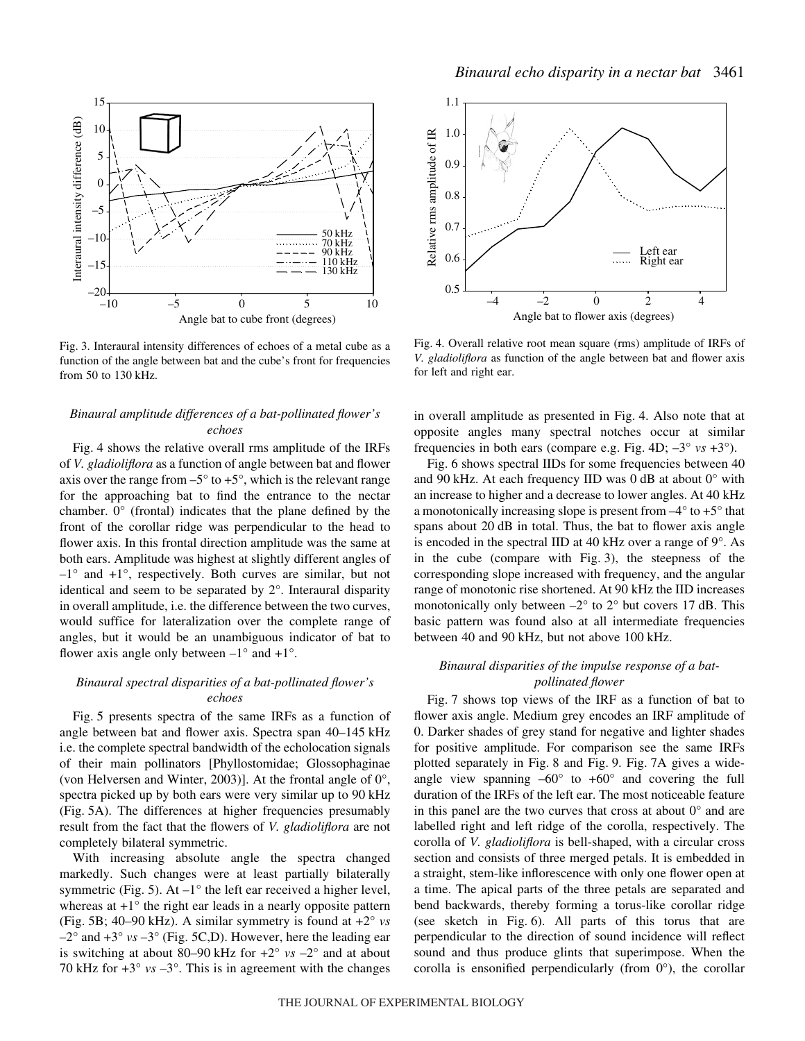

Fig. 3. Interaural intensity differences of echoes of a metal cube as a function of the angle between bat and the cube's front for frequencies from  $50$  to  $130$  kHz.

### *Binaural amplitude differences of a bat-pollinated flower's echoes*

Fig. 4 shows the relative overall rms amplitude of the IRFs of *V. gladioliflora* as a function of angle between bat and flower axis over the range from  $-5^{\circ}$  to  $+5^{\circ}$ , which is the relevant range for the approaching bat to find the entrance to the nectar chamber. 0° (frontal) indicates that the plane defined by the front of the corollar ridge was perpendicular to the head to flower axis. In this frontal direction amplitude was the same at both ears. Amplitude was highest at slightly different angles of  $-1^{\circ}$  and  $+1^{\circ}$ , respectively. Both curves are similar, but not identical and seem to be separated by 2°. Interaural disparity in overall amplitude, i.e. the difference between the two curves, would suffice for lateralization over the complete range of angles, but it would be an unambiguous indicator of bat to flower axis angle only between  $-1^{\circ}$  and  $+1^{\circ}$ .

### *Binaural spectral disparities of a bat-pollinated flower's echoes*

Fig. 5 presents spectra of the same IRFs as a function of angle between bat and flower axis. Spectra span 40–145 kHz i.e. the complete spectral bandwidth of the echolocation signals of their main pollinators [Phyllostomidae; Glossophaginae (von Helversen and Winter, 2003)]. At the frontal angle of 0°, spectra picked up by both ears were very similar up to 90 kHz (Fig. 5A). The differences at higher frequencies presumably result from the fact that the flowers of *V. gladioliflora* are not completely bilateral symmetric.

With increasing absolute angle the spectra changed markedly. Such changes were at least partially bilaterally symmetric (Fig. 5). At  $-1^\circ$  the left ear received a higher level, whereas at  $+1^\circ$  the right ear leads in a nearly opposite pattern (Fig. 5B; 40–90 kHz). A similar symmetry is found at  $+2^{\circ}$  *vs*  $-2^{\circ}$  and  $+3^{\circ}$  *vs*  $-3^{\circ}$  (Fig. 5C,D). However, here the leading ear is switching at about 80–90 kHz for  $+2^{\circ}$  *vs*  $-2^{\circ}$  and at about 70 kHz for  $+3^{\circ}$  *vs*  $-3^{\circ}$ . This is in agreement with the changes



Fig. 4. Overall relative root mean square (rms) amplitude of IRFs of *V. gladioliflora* as function of the angle between bat and flower axis for left and right ear.

in overall amplitude as presented in Fig. 4. Also note that at opposite angles many spectral notches occur at similar frequencies in both ears (compare e.g. Fig. 4D;  $-3^\circ$  *vs* +3°).

Fig. 6 shows spectral IIDs for some frequencies between 40 and 90 kHz. At each frequency IID was 0 dB at about  $0^{\circ}$  with an increase to higher and a decrease to lower angles. At 40 kHz a monotonically increasing slope is present from  $-4^{\circ}$  to  $+5^{\circ}$  that spans about 20 dB in total. Thus, the bat to flower axis angle is encoded in the spectral IID at 40 kHz over a range of 9°. As in the cube (compare with Fig. 3), the steepness of the corresponding slope increased with frequency, and the angular range of monotonic rise shortened. At 90 kHz the IID increases monotonically only between  $-2^{\circ}$  to  $2^{\circ}$  but covers 17 dB. This basic pattern was found also at all intermediate frequencies between 40 and 90 kHz, but not above 100 kHz.

### *Binaural disparities of the impulse response of a batpollinated flower*

Fig. 7 shows top views of the IRF as a function of bat to flower axis angle. Medium grey encodes an IRF amplitude of 0. Darker shades of grey stand for negative and lighter shades for positive amplitude. For comparison see the same IRFs plotted separately in Fig. 8 and Fig. 9. Fig. 7A gives a wideangle view spanning  $-60^{\circ}$  to  $+60^{\circ}$  and covering the full duration of the IRFs of the left ear. The most noticeable feature in this panel are the two curves that cross at about  $0^{\circ}$  and are labelled right and left ridge of the corolla, respectively. The corolla of *V. gladioliflora* is bell-shaped, with a circular cross section and consists of three merged petals. It is embedded in a straight, stem-like inflorescence with only one flower open at a time. The apical parts of the three petals are separated and bend backwards, thereby forming a torus-like corollar ridge (see sketch in Fig.  $6$ ). All parts of this torus that are perpendicular to the direction of sound incidence will reflect sound and thus produce glints that superimpose. When the corolla is ensonified perpendicularly (from 0°), the corollar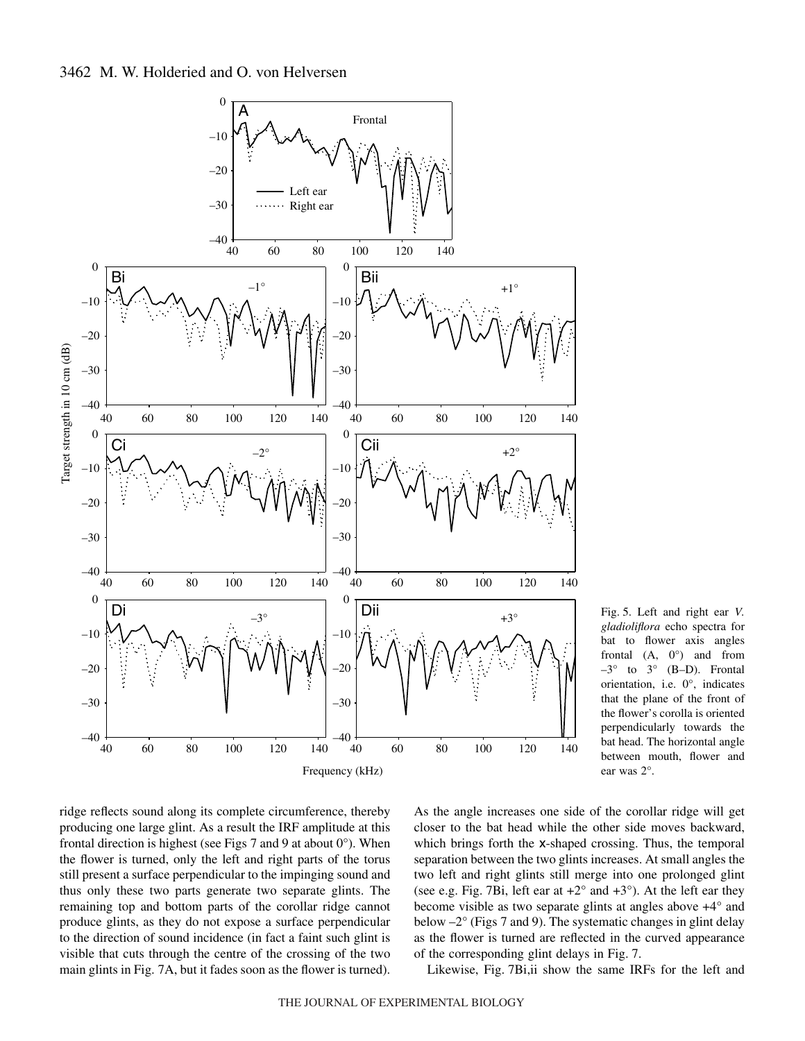

*gladioliflora* echo spectra for bat to flower axis angles frontal  $(A, 0^{\circ})$  and from  $-3^{\circ}$  to  $3^{\circ}$  (B-D). Frontal orientation, i.e. 0°, indicates that the plane of the front of the flower's corolla is oriented perpendicularly towards the bat head. The horizontal angle between mouth, flower and ear was 2°.

ridge reflects sound along its complete circumference, thereby producing one large glint. As a result the IRF amplitude at this frontal direction is highest (see Figs  $7$  and  $9$  at about  $0^{\circ}$ ). When the flower is turned, only the left and right parts of the torus still present a surface perpendicular to the impinging sound and thus only these two parts generate two separate glints. The remaining top and bottom parts of the corollar ridge cannot produce glints, as they do not expose a surface perpendicular to the direction of sound incidence (in fact a faint such glint is visible that cuts through the centre of the crossing of the two main glints in Fig. 7A, but it fades soon as the flower is turned). As the angle increases one side of the corollar ridge will get closer to the bat head while the other side moves backward, which brings forth the x-shaped crossing. Thus, the temporal separation between the two glints increases. At small angles the two left and right glints still merge into one prolonged glint (see e.g. Fig. 7Bi, left ear at  $+2^{\circ}$  and  $+3^{\circ}$ ). At the left ear they become visible as two separate glints at angles above +4° and below  $-2^{\circ}$  (Figs 7 and 9). The systematic changes in glint delay as the flower is turned are reflected in the curved appearance of the corresponding glint delays in Fig. 7.

Likewise, Fig. 7Bi,ii show the same IRFs for the left and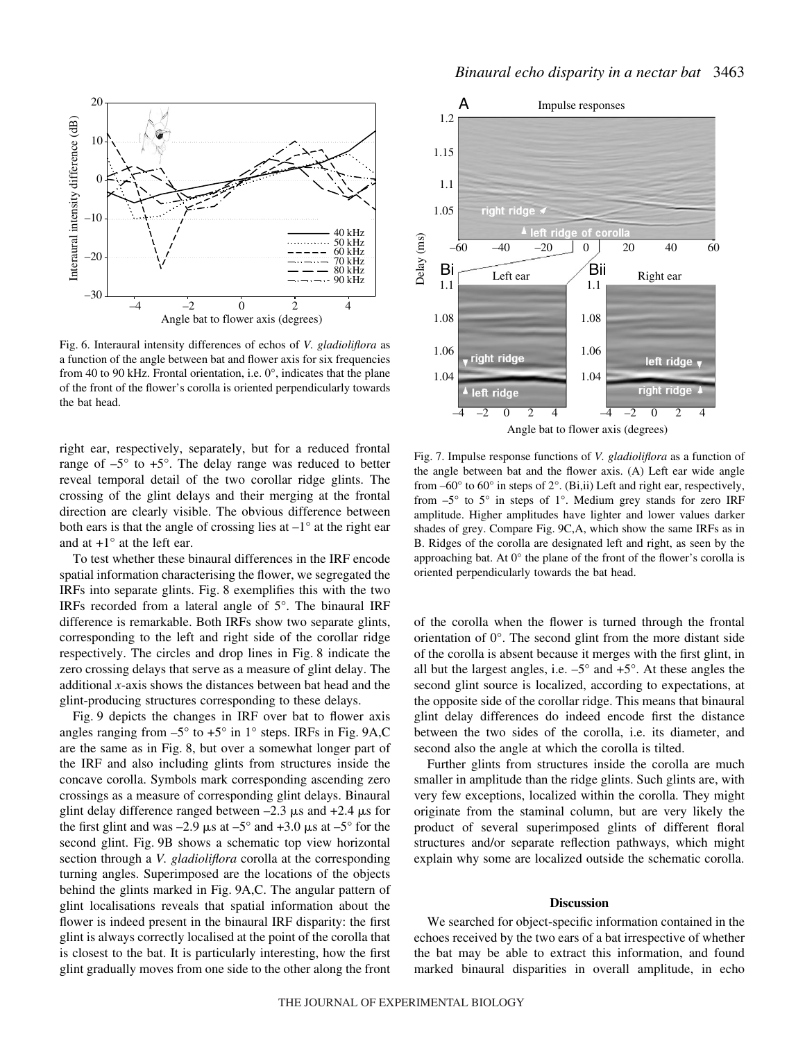![](_page_6_Figure_0.jpeg)

Fig. 6. Interaural intensity differences of echos of *V. gladioliflora* as a function of the angle between bat and flower axis for six frequencies from 40 to 90 kHz. Frontal orientation, i.e.  $0^{\circ}$ , indicates that the plane of the front of the flower's corolla is oriented perpendicularly towards the bat head.

right ear, respectively, separately, but for a reduced frontal range of  $-5^{\circ}$  to  $+5^{\circ}$ . The delay range was reduced to better reveal temporal detail of the two corollar ridge glints. The crossing of the glint delays and their merging at the frontal direction are clearly visible. The obvious difference between both ears is that the angle of crossing lies at  $-1^\circ$  at the right ear and at  $+1^{\circ}$  at the left ear.

To test whether these binaural differences in the IRF encode spatial information characterising the flower, we segregated the IRFs into separate glints. Fig. 8 exemplifies this with the two IRFs recorded from a lateral angle of 5°. The binaural IRF difference is remarkable. Both IRFs show two separate glints, corresponding to the left and right side of the corollar ridge respectively. The circles and drop lines in Fig. 8 indicate the zero crossing delays that serve as a measure of glint delay. The additional *x*-axis shows the distances between bat head and the glint-producing structures corresponding to these delays.

Fig. 9 depicts the changes in IRF over bat to flower axis angles ranging from  $-5^{\circ}$  to  $+5^{\circ}$  in 1° steps. IRFs in Fig. 9A,C are the same as in Fig. 8, but over a somewhat longer part of the IRF and also including glints from structures inside the concave corolla. Symbols mark corresponding ascending zero crossings as a measure of corresponding glint delays. Binaural glint delay difference ranged between  $-2.3 \mu s$  and  $+2.4 \mu s$  for the first glint and was –2.9  $\mu$ s at –5° and +3.0  $\mu$ s at –5° for the second glint. Fig. 9B shows a schematic top view horizontal section through a *V. gladioliflora* corolla at the corresponding turning angles. Superimposed are the locations of the objects behind the glints marked in Fig. 9A,C. The angular pattern of glint localisations reveals that spatial information about the flower is indeed present in the binaural IRF disparity: the first glint is always correctly localised at the point of the corolla that is closest to the bat. It is particularly interesting, how the first glint gradually moves from one side to the other along the front

![](_page_6_Figure_6.jpeg)

Fig. 7. Impulse response functions of *V. gladioliflora* as a function of the angle between bat and the flower axis. (A) Left ear wide angle from  $-60^\circ$  to  $60^\circ$  in steps of  $2^\circ$ . (Bi,ii) Left and right ear, respectively, from  $-5^{\circ}$  to  $5^{\circ}$  in steps of 1°. Medium grey stands for zero IRF amplitude. Higher amplitudes have lighter and lower values darker shades of grey. Compare Fig. 9C,A, which show the same IRFs as in B. Ridges of the corolla are designated left and right, as seen by the approaching bat. At 0° the plane of the front of the flower's corolla is oriented perpendicularly towards the bat head.

of the corolla when the flower is turned through the frontal orientation of 0°. The second glint from the more distant side of the corolla is absent because it merges with the first glint, in all but the largest angles, i.e.  $-5^{\circ}$  and  $+5^{\circ}$ . At these angles the second glint source is localized, according to expectations, at the opposite side of the corollar ridge. This means that binaural glint delay differences do indeed encode first the distance between the two sides of the corolla, i.e. its diameter, and second also the angle at which the corolla is tilted.

Further glints from structures inside the corolla are much smaller in amplitude than the ridge glints. Such glints are, with very few exceptions, localized within the corolla. They might originate from the staminal column, but are very likely the product of several superimposed glints of different floral structures and/or separate reflection pathways, which might explain why some are localized outside the schematic corolla.

#### **Discussion**

We searched for object-specific information contained in the echoes received by the two ears of a bat irrespective of whether the bat may be able to extract this information, and found marked binaural disparities in overall amplitude, in echo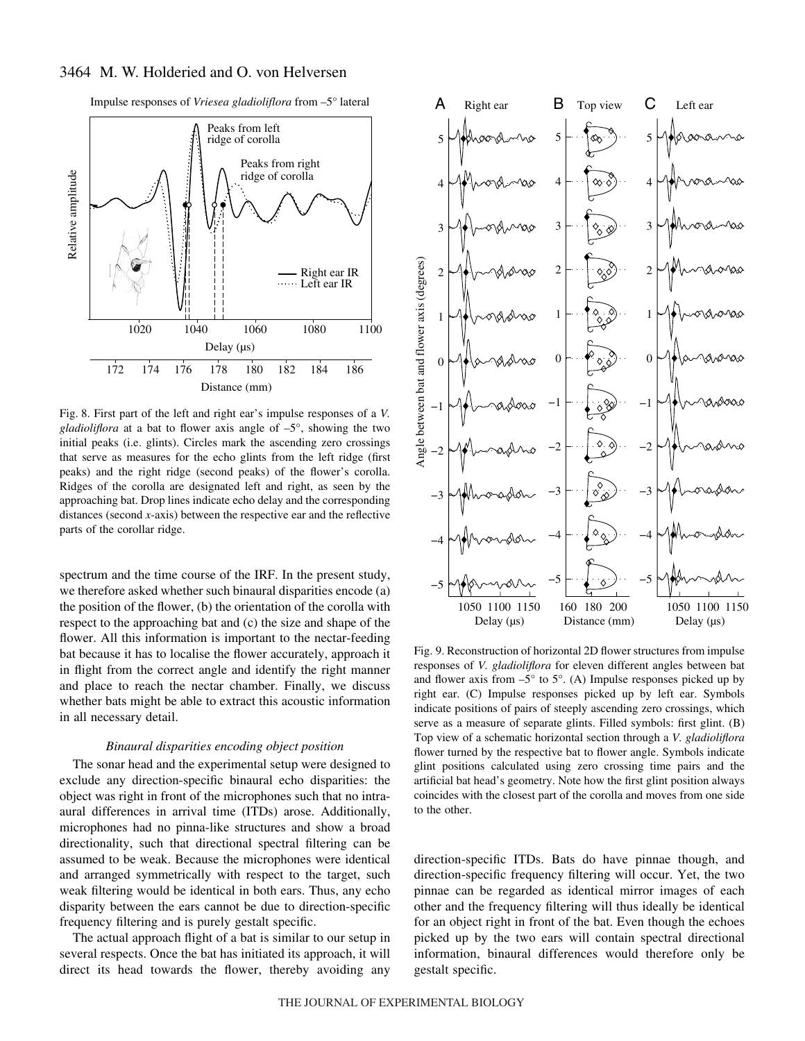![](_page_7_Figure_1.jpeg)

Impulse responses of *Vriesea gladioliflora* from –5° lateral

Fig. 8. First part of the left and right ear's impulse responses of a *V*. *gladioliflora* at a bat to flower axis angle of –5°, showing the two initial peaks (i.e. glints). Circles mark the ascending zero crossings that serve as measures for the echo glints from the left ridge (first peaks) and the right ridge (second peaks) of the flower's corolla. Ridges of the corolla are designated left and right, as seen by the approaching bat. Drop lines indicate echo delay and the corresponding distances (second *x*-axis) between the respective ear and the reflective parts of the corollar ridge.

spectrum and the time course of the IRF. In the present study, we therefore asked whether such binaural disparities encode (a) the position of the flower, (b) the orientation of the corolla with respect to the approaching bat and (c) the size and shape of the flower. All this information is important to the nectar-feeding bat because it has to localise the flower accurately, approach it in flight from the correct angle and identify the right manner and place to reach the nectar chamber. Finally, we discuss whether bats might be able to extract this acoustic information in all necessary detail.

### *Binaural disparities encoding object position*

The sonar head and the experimental setup were designed to exclude any direction-specific binaural echo disparities: the object was right in front of the microphones such that no intraaural differences in arrival time (ITDs) arose. Additionally, microphones had no pinna-like structures and show a broad directionality, such that directional spectral filtering can be assumed to be weak. Because the microphones were identical and arranged symmetrically with respect to the target, such weak filtering would be identical in both ears. Thus, any echo disparity between the ears cannot be due to direction-specific frequency filtering and is purely gestalt specific.

The actual approach flight of a bat is similar to our setup in several respects. Once the bat has initiated its approach, it will direct its head towards the flower, thereby avoiding any

![](_page_7_Figure_8.jpeg)

Fig. 9. Reconstruction of horizontal 2D flower structures from impulse responses of *V. gladioliflora* for eleven different angles between bat and flower axis from  $-5^{\circ}$  to  $5^{\circ}$ . (A) Impulse responses picked up by right ear. (C) Impulse responses picked up by left ear. Symbols indicate positions of pairs of steeply ascending zero crossings, which serve as a measure of separate glints. Filled symbols: first glint. (B) Top view of a schematic horizontal section through a *V. gladioliflora* flower turned by the respective bat to flower angle. Symbols indicate glint positions calculated using zero crossing time pairs and the artificial bat head's geometry. Note how the first glint position always coincides with the closest part of the corolla and moves from one side to the other.

direction-specific ITDs. Bats do have pinnae though, and direction-specific frequency filtering will occur. Yet, the two pinnae can be regarded as identical mirror images of each other and the frequency filtering will thus ideally be identical for an object right in front of the bat. Even though the echoes picked up by the two ears will contain spectral directional information, binaural differences would therefore only be gestalt specific.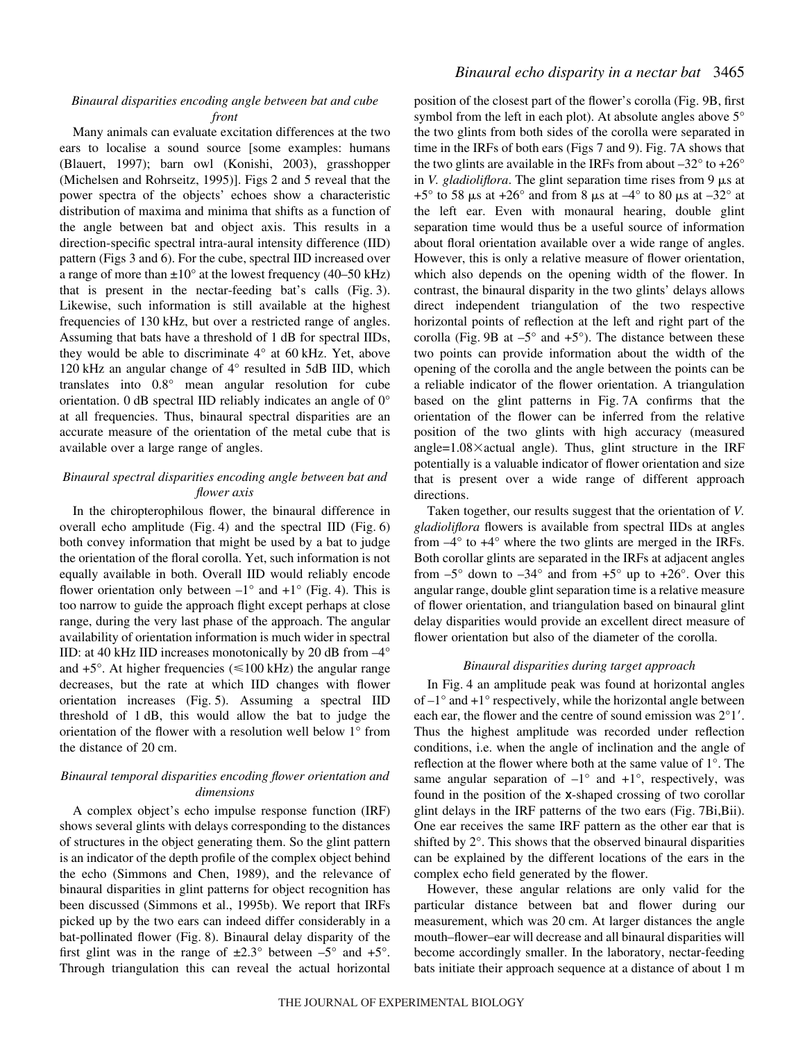### *Binaural disparities encoding angle between bat and cube front*

Many animals can evaluate excitation differences at the two ears to localise a sound source [some examples: humans (Blauert, 1997); barn owl (Konishi, 2003), grasshopper (Michelsen and Rohrseitz, 1995)]. Figs 2 and 5 reveal that the power spectra of the objects' echoes show a characteristic distribution of maxima and minima that shifts as a function of the angle between bat and object axis. This results in a direction-specific spectral intra-aural intensity difference (IID) pattern (Figs 3 and 6). For the cube, spectral IID increased over a range of more than  $\pm 10^{\circ}$  at the lowest frequency (40–50 kHz) that is present in the nectar-feeding bat's calls  $(Fig. 3)$ . Likewise, such information is still available at the highest frequencies of 130 kHz, but over a restricted range of angles. Assuming that bats have a threshold of 1 dB for spectral IIDs, they would be able to discriminate  $4^\circ$  at 60 kHz. Yet, above 120·kHz an angular change of 4° resulted in 5dB IID, which translates into 0.8° mean angular resolution for cube orientation. 0 dB spectral IID reliably indicates an angle of  $0^{\circ}$ at all frequencies. Thus, binaural spectral disparities are an accurate measure of the orientation of the metal cube that is available over a large range of angles.

## *Binaural spectral disparities encoding angle between bat and flower axis*

In the chiropterophilous flower, the binaural difference in overall echo amplitude (Fig. 4) and the spectral IID (Fig.  $6$ ) both convey information that might be used by a bat to judge the orientation of the floral corolla. Yet, such information is not equally available in both. Overall IID would reliably encode flower orientation only between  $-1^{\circ}$  and  $+1^{\circ}$  (Fig. 4). This is too narrow to guide the approach flight except perhaps at close range, during the very last phase of the approach. The angular availability of orientation information is much wider in spectral IID: at 40 kHz IID increases monotonically by 20 dB from  $-4^{\circ}$ and  $+5^{\circ}$ . At higher frequencies ( $\leq 100$  kHz) the angular range decreases, but the rate at which IID changes with flower orientation increases (Fig. 5). Assuming a spectral IID threshold of 1 dB, this would allow the bat to judge the orientation of the flower with a resolution well below 1° from the distance of 20 cm.

### *Binaural temporal disparities encoding flower orientation and dimensions*

A complex object's echo impulse response function (IRF) shows several glints with delays corresponding to the distances of structures in the object generating them. So the glint pattern is an indicator of the depth profile of the complex object behind the echo (Simmons and Chen, 1989), and the relevance of binaural disparities in glint patterns for object recognition has been discussed (Simmons et al., 1995b). We report that IRFs picked up by the two ears can indeed differ considerably in a bat-pollinated flower (Fig. 8). Binaural delay disparity of the first glint was in the range of  $\pm 2.3^{\circ}$  between  $-5^{\circ}$  and  $+5^{\circ}$ . Through triangulation this can reveal the actual horizontal position of the closest part of the flower's corolla (Fig. 9B, first symbol from the left in each plot). At absolute angles above 5° the two glints from both sides of the corolla were separated in time in the IRFs of both ears (Figs 7 and 9). Fig. 7A shows that the two glints are available in the IRFs from about  $-32^{\circ}$  to  $+26^{\circ}$ in *V. gladioliflora*. The glint separation time rises from  $9 \mu s$  at +5° to 58  $\mu$ s at +26° and from 8  $\mu$ s at -4° to 80  $\mu$ s at -32° at the left ear. Even with monaural hearing, double glint separation time would thus be a useful source of information about floral orientation available over a wide range of angles. However, this is only a relative measure of flower orientation, which also depends on the opening width of the flower. In contrast, the binaural disparity in the two glints' delays allows direct independent triangulation of the two respective horizontal points of reflection at the left and right part of the corolla (Fig. 9B at  $-5^{\circ}$  and  $+5^{\circ}$ ). The distance between these two points can provide information about the width of the opening of the corolla and the angle between the points can be a reliable indicator of the flower orientation. A triangulation based on the glint patterns in Fig. 7A confirms that the orientation of the flower can be inferred from the relative position of the two glints with high accuracy (measured angle= $1.08\times$ actual angle). Thus, glint structure in the IRF potentially is a valuable indicator of flower orientation and size that is present over a wide range of different approach directions.

Taken together, our results suggest that the orientation of *V. gladioliflora* flowers is available from spectral IIDs at angles from –4° to +4° where the two glints are merged in the IRFs. Both corollar glints are separated in the IRFs at adjacent angles from  $-5^{\circ}$  down to  $-34^{\circ}$  and from  $+5^{\circ}$  up to  $+26^{\circ}$ . Over this angular range, double glint separation time is a relative measure of flower orientation, and triangulation based on binaural glint delay disparities would provide an excellent direct measure of flower orientation but also of the diameter of the corolla.

### *Binaural disparities during target approach*

In Fig. 4 an amplitude peak was found at horizontal angles of  $-1^\circ$  and  $+1^\circ$  respectively, while the horizontal angle between each ear, the flower and the centre of sound emission was  $2^{\circ}1'$ . Thus the highest amplitude was recorded under reflection conditions, i.e. when the angle of inclination and the angle of reflection at the flower where both at the same value of 1°. The same angular separation of  $-1^{\circ}$  and  $+1^{\circ}$ , respectively, was found in the position of the x-shaped crossing of two corollar glint delays in the IRF patterns of the two ears (Fig. 7Bi,Bii). One ear receives the same IRF pattern as the other ear that is shifted by 2°. This shows that the observed binaural disparities can be explained by the different locations of the ears in the complex echo field generated by the flower.

However, these angular relations are only valid for the particular distance between bat and flower during our measurement, which was 20 cm. At larger distances the angle mouth–flower–ear will decrease and all binaural disparities will become accordingly smaller. In the laboratory, nectar-feeding bats initiate their approach sequence at a distance of about 1 m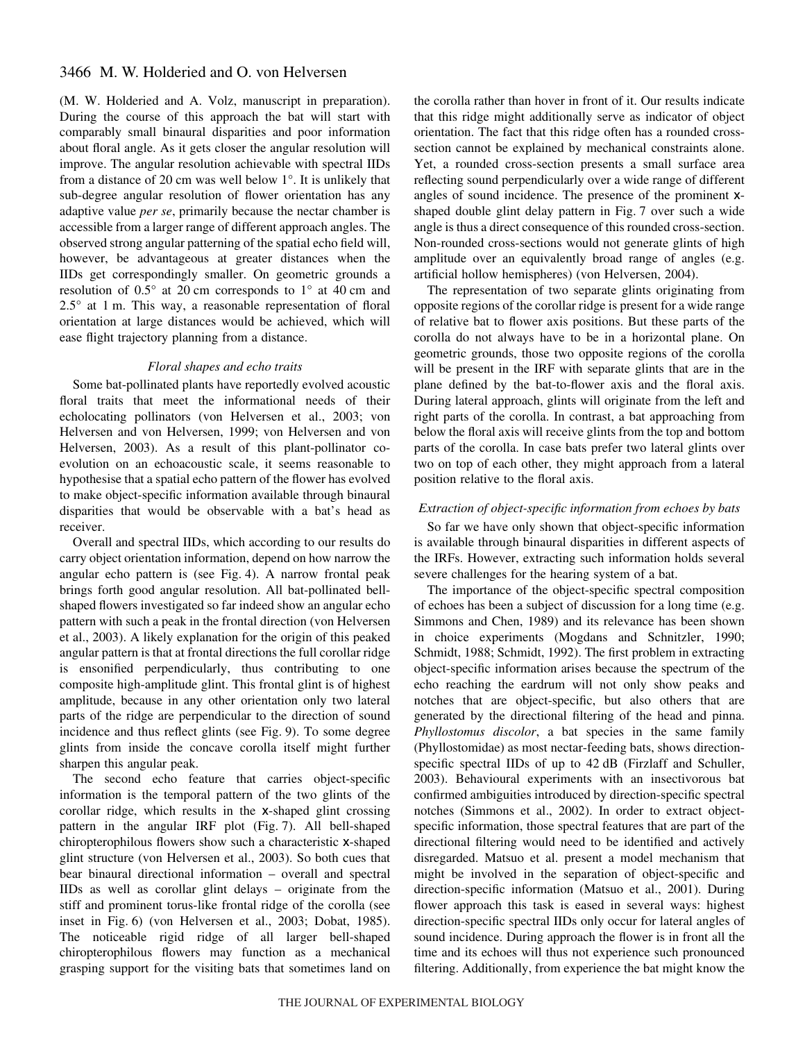(M. W. Holderied and A. Volz, manuscript in preparation). During the course of this approach the bat will start with comparably small binaural disparities and poor information about floral angle. As it gets closer the angular resolution will improve. The angular resolution achievable with spectral IIDs from a distance of 20 cm was well below  $1^\circ$ . It is unlikely that sub-degree angular resolution of flower orientation has any adaptive value *per se*, primarily because the nectar chamber is accessible from a larger range of different approach angles. The observed strong angular patterning of the spatial echo field will, however, be advantageous at greater distances when the IIDs get correspondingly smaller. On geometric grounds a resolution of  $0.5^{\circ}$  at 20 cm corresponds to 1° at 40 cm and  $2.5^{\circ}$  at 1 m. This way, a reasonable representation of floral orientation at large distances would be achieved, which will ease flight trajectory planning from a distance.

### *Floral shapes and echo traits*

Some bat-pollinated plants have reportedly evolved acoustic floral traits that meet the informational needs of their echolocating pollinators (von Helversen et al., 2003; von Helversen and von Helversen, 1999; von Helversen and von Helversen, 2003). As a result of this plant-pollinator coevolution on an echoacoustic scale, it seems reasonable to hypothesise that a spatial echo pattern of the flower has evolved to make object-specific information available through binaural disparities that would be observable with a bat's head as receiver.

Overall and spectral IIDs, which according to our results do carry object orientation information, depend on how narrow the angular echo pattern is (see Fig. 4). A narrow frontal peak brings forth good angular resolution. All bat-pollinated bellshaped flowers investigated so far indeed show an angular echo pattern with such a peak in the frontal direction (von Helversen et al., 2003). A likely explanation for the origin of this peaked angular pattern is that at frontal directions the full corollar ridge is ensonified perpendicularly, thus contributing to one composite high-amplitude glint. This frontal glint is of highest amplitude, because in any other orientation only two lateral parts of the ridge are perpendicular to the direction of sound incidence and thus reflect glints (see Fig. 9). To some degree glints from inside the concave corolla itself might further sharpen this angular peak.

The second echo feature that carries object-specific information is the temporal pattern of the two glints of the corollar ridge, which results in the x-shaped glint crossing pattern in the angular IRF plot (Fig. 7). All bell-shaped chiropterophilous flowers show such a characteristic x-shaped glint structure (von Helversen et al., 2003). So both cues that bear binaural directional information – overall and spectral IIDs as well as corollar glint delays – originate from the stiff and prominent torus-like frontal ridge of the corolla (see inset in Fig. 6) (von Helversen et al., 2003; Dobat, 1985). The noticeable rigid ridge of all larger bell-shaped chiropterophilous flowers may function as a mechanical grasping support for the visiting bats that sometimes land on the corolla rather than hover in front of it. Our results indicate that this ridge might additionally serve as indicator of object orientation. The fact that this ridge often has a rounded crosssection cannot be explained by mechanical constraints alone. Yet, a rounded cross-section presents a small surface area reflecting sound perpendicularly over a wide range of different angles of sound incidence. The presence of the prominent xshaped double glint delay pattern in Fig. 7 over such a wide angle is thus a direct consequence of this rounded cross-section. Non-rounded cross-sections would not generate glints of high amplitude over an equivalently broad range of angles (e.g. artificial hollow hemispheres) (von Helversen, 2004).

The representation of two separate glints originating from opposite regions of the corollar ridge is present for a wide range of relative bat to flower axis positions. But these parts of the corolla do not always have to be in a horizontal plane. On geometric grounds, those two opposite regions of the corolla will be present in the IRF with separate glints that are in the plane defined by the bat-to-flower axis and the floral axis. During lateral approach, glints will originate from the left and right parts of the corolla. In contrast, a bat approaching from below the floral axis will receive glints from the top and bottom parts of the corolla. In case bats prefer two lateral glints over two on top of each other, they might approach from a lateral position relative to the floral axis.

### *Extraction of object-specific information from echoes by bats*

So far we have only shown that object-specific information is available through binaural disparities in different aspects of the IRFs. However, extracting such information holds several severe challenges for the hearing system of a bat.

The importance of the object-specific spectral composition of echoes has been a subject of discussion for a long time (e.g. Simmons and Chen, 1989) and its relevance has been shown in choice experiments (Mogdans and Schnitzler, 1990; Schmidt, 1988; Schmidt, 1992). The first problem in extracting object-specific information arises because the spectrum of the echo reaching the eardrum will not only show peaks and notches that are object-specific, but also others that are generated by the directional filtering of the head and pinna. *Phyllostomus discolor*, a bat species in the same family (Phyllostomidae) as most nectar-feeding bats, shows directionspecific spectral IIDs of up to 42 dB (Firzlaff and Schuller, 2003). Behavioural experiments with an insectivorous bat confirmed ambiguities introduced by direction-specific spectral notches (Simmons et al., 2002). In order to extract objectspecific information, those spectral features that are part of the directional filtering would need to be identified and actively disregarded. Matsuo et al. present a model mechanism that might be involved in the separation of object-specific and direction-specific information (Matsuo et al., 2001). During flower approach this task is eased in several ways: highest direction-specific spectral IIDs only occur for lateral angles of sound incidence. During approach the flower is in front all the time and its echoes will thus not experience such pronounced filtering. Additionally, from experience the bat might know the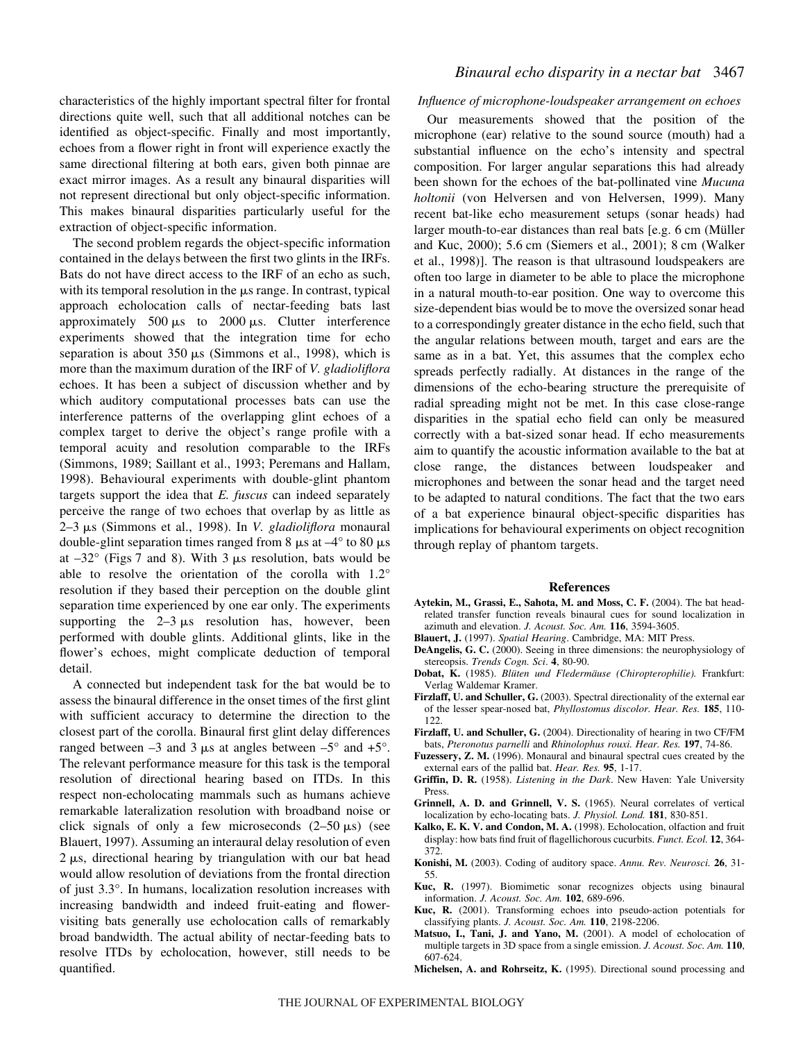characteristics of the highly important spectral filter for frontal directions quite well, such that all additional notches can be identified as object-specific. Finally and most importantly, echoes from a flower right in front will experience exactly the same directional filtering at both ears, given both pinnae are exact mirror images. As a result any binaural disparities will not represent directional but only object-specific information. This makes binaural disparities particularly useful for the extraction of object-specific information.

The second problem regards the object-specific information contained in the delays between the first two glints in the IRFs. Bats do not have direct access to the IRF of an echo as such, with its temporal resolution in the  $\mu$ s range. In contrast, typical approach echolocation calls of nectar-feeding bats last approximately  $500 \mu s$  to  $2000 \mu s$ . Clutter interference experiments showed that the integration time for echo separation is about  $350 \mu s$  (Simmons et al., 1998), which is more than the maximum duration of the IRF of *V. gladioliflora* echoes. It has been a subject of discussion whether and by which auditory computational processes bats can use the interference patterns of the overlapping glint echoes of a complex target to derive the object's range profile with a temporal acuity and resolution comparable to the IRFs (Simmons, 1989; Saillant et al., 1993; Peremans and Hallam, 1998). Behavioural experiments with double-glint phantom targets support the idea that *E. fuscus* can indeed separately perceive the range of two echoes that overlap by as little as 2–3 μs (Simmons et al., 1998). In *V. gladioliflora* monaural double-glint separation times ranged from 8  $\mu$ s at –4° to 80  $\mu$ s at  $-32^{\circ}$  (Figs 7 and 8). With 3  $\mu$ s resolution, bats would be able to resolve the orientation of the corolla with 1.2° resolution if they based their perception on the double glint separation time experienced by one ear only. The experiments supporting the  $2-3 \mu s$  resolution has, however, been performed with double glints. Additional glints, like in the flower's echoes, might complicate deduction of temporal detail.

A connected but independent task for the bat would be to assess the binaural difference in the onset times of the first glint with sufficient accuracy to determine the direction to the closest part of the corolla. Binaural first glint delay differences ranged between  $-3$  and 3  $\mu$ s at angles between  $-5^{\circ}$  and  $+5^{\circ}$ . The relevant performance measure for this task is the temporal resolution of directional hearing based on ITDs. In this respect non-echolocating mammals such as humans achieve remarkable lateralization resolution with broadband noise or click signals of only a few microseconds  $(2-50 \mu s)$  (see Blauert, 1997). Assuming an interaural delay resolution of even  $2 \mu s$ , directional hearing by triangulation with our bat head would allow resolution of deviations from the frontal direction of just 3.3°. In humans, localization resolution increases with increasing bandwidth and indeed fruit-eating and flowervisiting bats generally use echolocation calls of remarkably broad bandwidth. The actual ability of nectar-feeding bats to resolve ITDs by echolocation, however, still needs to be quantified.

### *Binaural echo disparity in a nectar bat* 3467

### *Influence of microphone-loudspeaker arrangement on echoes*

Our measurements showed that the position of the microphone (ear) relative to the sound source (mouth) had a substantial influence on the echo's intensity and spectral composition. For larger angular separations this had already been shown for the echoes of the bat-pollinated vine *Mucuna holtonii* (von Helversen and von Helversen, 1999). Many recent bat-like echo measurement setups (sonar heads) had larger mouth-to-ear distances than real bats [e.g. 6 cm (Müller and Kuc, 2000); 5.6 cm (Siemers et al., 2001); 8 cm (Walker et al., 1998)]. The reason is that ultrasound loudspeakers are often too large in diameter to be able to place the microphone in a natural mouth-to-ear position. One way to overcome this size-dependent bias would be to move the oversized sonar head to a correspondingly greater distance in the echo field, such that the angular relations between mouth, target and ears are the same as in a bat. Yet, this assumes that the complex echo spreads perfectly radially. At distances in the range of the dimensions of the echo-bearing structure the prerequisite of radial spreading might not be met. In this case close-range disparities in the spatial echo field can only be measured correctly with a bat-sized sonar head. If echo measurements aim to quantify the acoustic information available to the bat at close range, the distances between loudspeaker and microphones and between the sonar head and the target need to be adapted to natural conditions. The fact that the two ears of a bat experience binaural object-specific disparities has implications for behavioural experiments on object recognition through replay of phantom targets.

#### **References**

- **Aytekin, M., Grassi, E., Sahota, M. and Moss, C. F.** (2004). The bat headrelated transfer function reveals binaural cues for sound localization in azimuth and elevation. *J. Acoust. Soc. Am.* **116**, 3594-3605.
- **Blauert, J.** (1997). *Spatial Hearing*. Cambridge, MA: MIT Press.
- **DeAngelis, G. C.** (2000). Seeing in three dimensions: the neurophysiology of stereopsis. *Trends Cogn. Sci*. **4**, 80-90.
- **Dobat, K.** (1985). *Blüten und Fledermäuse (Chiropterophilie).* Frankfurt: Verlag Waldemar Kramer.
- **Firzlaff, U. and Schuller, G.** (2003). Spectral directionality of the external ear of the lesser spear-nosed bat, *Phyllostomus discolor. Hear. Res.* **185**, 110- 122.
- **Firzlaff, U. and Schuller, G.** (2004). Directionality of hearing in two CF/FM bats, *Pteronotus parnelli* and *Rhinolophus rouxi. Hear. Res.* **197**, 74-86.
- **Fuzessery, Z. M.** (1996). Monaural and binaural spectral cues created by the external ears of the pallid bat. *Hear. Res.* **95**, 1-17.
- **Griffin, D. R.** (1958). *Listening in the Dark*. New Haven: Yale University Press.
- **Grinnell, A. D. and Grinnell, V. S.** (1965). Neural correlates of vertical localization by echo-locating bats. *J. Physiol. Lond.* **181**, 830-851.
- **Kalko, E. K. V. and Condon, M. A.** (1998). Echolocation, olfaction and fruit display: how bats find fruit of flagellichorous cucurbits. *Funct. Ecol.* **12**, 364- 372.
- **Konishi, M.** (2003). Coding of auditory space. *Annu. Rev. Neurosci.* **26**, 31- 55.
- **Kuc, R.** (1997). Biomimetic sonar recognizes objects using binaural information. *J. Acoust. Soc. Am.* **102**, 689-696.
- **Kuc, R.** (2001). Transforming echoes into pseudo-action potentials for classifying plants. *J. Acoust. Soc. Am.* **110**, 2198-2206.
- Matsuo, I., Tani, J. and Yano, M. (2001). A model of echolocation of multiple targets in 3D space from a single emission. *J. Acoust. Soc. Am.* **110**, 607-624.
- **Michelsen, A. and Rohrseitz, K.** (1995). Directional sound processing and